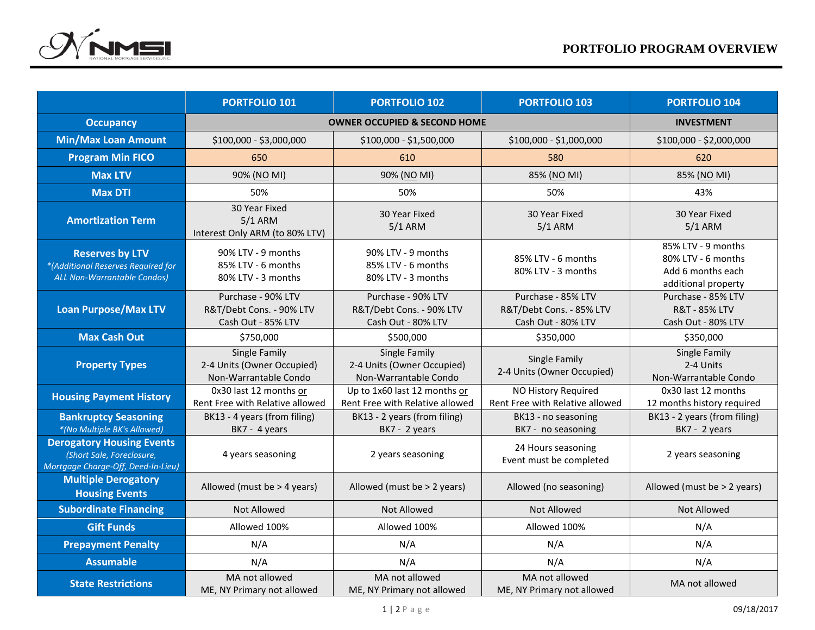

|                                                                                                     | <b>PORTFOLIO 101</b>                                                 | <b>PORTFOLIO 102</b>                                                 | <b>PORTFOLIO 103</b>                                                 | <b>PORTFOLIO 104</b>                                                                 |  |  |
|-----------------------------------------------------------------------------------------------------|----------------------------------------------------------------------|----------------------------------------------------------------------|----------------------------------------------------------------------|--------------------------------------------------------------------------------------|--|--|
| <b>Occupancy</b>                                                                                    |                                                                      | <b>OWNER OCCUPIED &amp; SECOND HOME</b>                              |                                                                      | <b>INVESTMENT</b>                                                                    |  |  |
| <b>Min/Max Loan Amount</b>                                                                          | \$100,000 - \$3,000,000                                              | \$100,000 - \$1,500,000                                              | \$100,000 - \$1,000,000                                              | \$100,000 - \$2,000,000                                                              |  |  |
| <b>Program Min FICO</b>                                                                             | 650                                                                  | 610                                                                  | 580                                                                  | 620                                                                                  |  |  |
| <b>Max LTV</b>                                                                                      | 90% (NO MI)                                                          | 90% (NO MI)                                                          | 85% (NO MI)                                                          | 85% (NO MI)                                                                          |  |  |
| <b>Max DTI</b>                                                                                      | 50%                                                                  | 50%                                                                  | 50%                                                                  | 43%                                                                                  |  |  |
| <b>Amortization Term</b>                                                                            | 30 Year Fixed<br>$5/1$ ARM<br>Interest Only ARM (to 80% LTV)         | 30 Year Fixed<br>$5/1$ ARM                                           | 30 Year Fixed<br>$5/1$ ARM                                           | 30 Year Fixed<br>$5/1$ ARM                                                           |  |  |
| <b>Reserves by LTV</b><br>*(Additional Reserves Required for<br>ALL Non-Warrantable Condos)         | 90% LTV - 9 months<br>85% LTV - 6 months<br>80% LTV - 3 months       | 90% LTV - 9 months<br>85% LTV - 6 months<br>80% LTV - 3 months       | 85% LTV - 6 months<br>80% LTV - 3 months                             | 85% LTV - 9 months<br>80% LTV - 6 months<br>Add 6 months each<br>additional property |  |  |
| <b>Loan Purpose/Max LTV</b>                                                                         | Purchase - 90% LTV<br>R&T/Debt Cons. - 90% LTV<br>Cash Out - 85% LTV | Purchase - 90% LTV<br>R&T/Debt Cons. - 90% LTV<br>Cash Out - 80% LTV | Purchase - 85% LTV<br>R&T/Debt Cons. - 85% LTV<br>Cash Out - 80% LTV | Purchase - 85% LTV<br>R&T - 85% LTV<br>Cash Out - 80% LTV                            |  |  |
| <b>Max Cash Out</b>                                                                                 | \$750,000                                                            | \$500,000                                                            | \$350,000                                                            | \$350,000                                                                            |  |  |
| <b>Property Types</b>                                                                               | Single Family<br>2-4 Units (Owner Occupied)<br>Non-Warrantable Condo | Single Family<br>2-4 Units (Owner Occupied)<br>Non-Warrantable Condo | Single Family<br>2-4 Units (Owner Occupied)                          | <b>Single Family</b><br>2-4 Units<br>Non-Warrantable Condo                           |  |  |
| <b>Housing Payment History</b>                                                                      | 0x30 last 12 months or<br>Rent Free with Relative allowed            | Up to 1x60 last 12 months or<br>Rent Free with Relative allowed      | NO History Required<br>Rent Free with Relative allowed               | 0x30 last 12 months<br>12 months history required                                    |  |  |
| <b>Bankruptcy Seasoning</b><br>*(No Multiple BK's Allowed)                                          | BK13 - 4 years (from filing)<br>BK7 - 4 years                        | BK13 - 2 years (from filing)<br>BK7 - 2 years                        | BK13 - no seasoning<br>BK7 - no seasoning                            | BK13 - 2 years (from filing)<br>BK7 - 2 years                                        |  |  |
| <b>Derogatory Housing Events</b><br>(Short Sale, Foreclosure,<br>Mortgage Charge-Off, Deed-In-Lieu) | 4 years seasoning                                                    | 2 years seasoning                                                    | 24 Hours seasoning<br>Event must be completed                        | 2 years seasoning                                                                    |  |  |
| <b>Multiple Derogatory</b><br><b>Housing Events</b>                                                 | Allowed (must be $>$ 4 years)                                        | Allowed (must be > 2 years)                                          | Allowed (no seasoning)                                               | Allowed (must be > 2 years)                                                          |  |  |
| <b>Subordinate Financing</b>                                                                        | <b>Not Allowed</b>                                                   | <b>Not Allowed</b>                                                   | <b>Not Allowed</b>                                                   | <b>Not Allowed</b>                                                                   |  |  |
| <b>Gift Funds</b>                                                                                   | Allowed 100%                                                         | Allowed 100%                                                         | Allowed 100%                                                         | N/A                                                                                  |  |  |
| <b>Prepayment Penalty</b>                                                                           | N/A                                                                  | N/A                                                                  | N/A                                                                  | N/A                                                                                  |  |  |
| <b>Assumable</b>                                                                                    | N/A                                                                  | N/A                                                                  | N/A                                                                  | N/A                                                                                  |  |  |
| <b>State Restrictions</b>                                                                           | MA not allowed<br>ME, NY Primary not allowed                         | MA not allowed<br>ME, NY Primary not allowed                         | MA not allowed<br>ME, NY Primary not allowed                         | MA not allowed                                                                       |  |  |